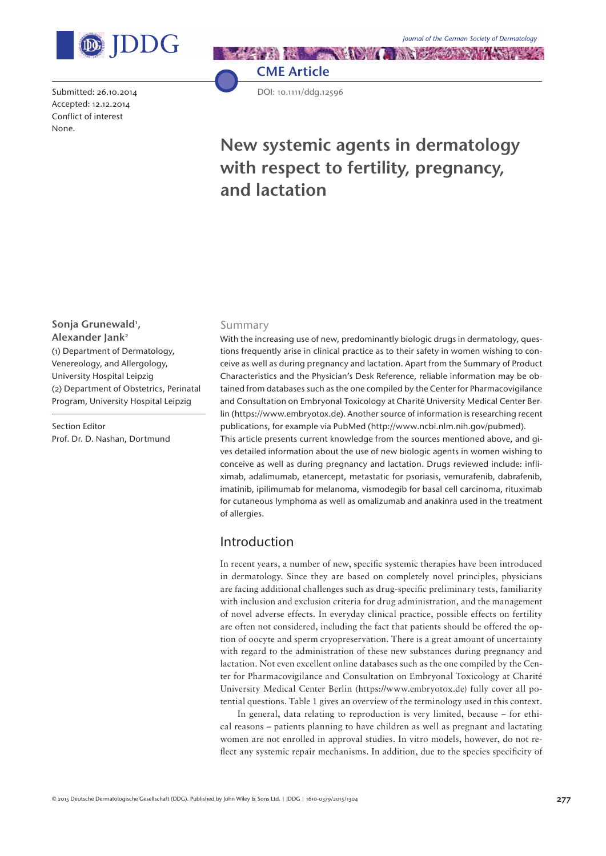

Submitted: 26.10.2014 Accepted: 12.12.2014 Conflict of interest None.

CME Article

DOI: 10.1111/ddg.12596

# **New systemic agents in dermatology with respect to fertility, pregnancy, and lactation**

**A CONTRACTOR** CONTRACTOR AND THE RESIDENCE OF A CONTRACTOR

Sonja Grunewald<sup>1</sup>, Alexander Jank2 (1) Department of Dermatology, Venereology, and Allergology, University Hospital Leipzig (2) Department of Obstetrics, Perinatal Program, University Hospital Leipzig

Section Editor Prof. Dr. D. Nashan, Dortmund

#### Summary

With the increasing use of new, predominantly biologic drugs in dermatology, questions frequently arise in clinical practice as to their safety in women wishing to conceive as well as during pregnancy and lactation. Apart from the Summary of Product Characteristics and the Physician's Desk Reference, reliable information may be obtained from databases such as the one compiled by the Center for Pharmacovigilance and Consultation on Embryonal Toxicology at Charité University Medical Center Berlin (https://www.embryotox.de). Another source of information is researching recent publications, for example via PubMed (http://www.ncbi.nlm.nih.gov/pubmed).

This article presents current knowledge from the sources mentioned above, and gives detailed information about the use of new biologic agents in women wishing to conceive as well as during pregnancy and lactation. Drugs reviewed include: infliximab, adalimumab, etanercept, metastatic for psoriasis, vemurafenib, dabrafenib, imatinib, ipilimumab for melanoma, vismodegib for basal cell carcinoma, rituximab for cutaneous lymphoma as well as omalizumab and anakinra used in the treatment of allergies.

# Introduction

In recent years, a number of new, specific systemic therapies have been introduced in dermatology. Since they are based on completely novel principles, physicians are facing additional challenges such as drug-specific preliminary tests, familiarity with inclusion and exclusion criteria for drug administration, and the management of novel adverse effects. In everyday clinical practice, possible effects on fertility are often not considered, including the fact that patients should be offered the option of oocyte and sperm cryopreservation. There is a great amount of uncertainty with regard to the administration of these new substances during pregnancy and lactation. Not even excellent online databases such as the one compiled by the Center for Pharmacovigilance and Consultation on Embryonal Toxicology at Charité University Medical Center Berlin (https://www.embryotox.de) fully cover all potential questions. Table 1 gives an overview of the terminology used in this context.

In general, data relating to reproduction is very limited, because – for ethical reasons – patients planning to have children as well as pregnant and lactating women are not enrolled in approval studies. In vitro models, however, do not reflect any systemic repair mechanisms. In addition, due to the species specificity of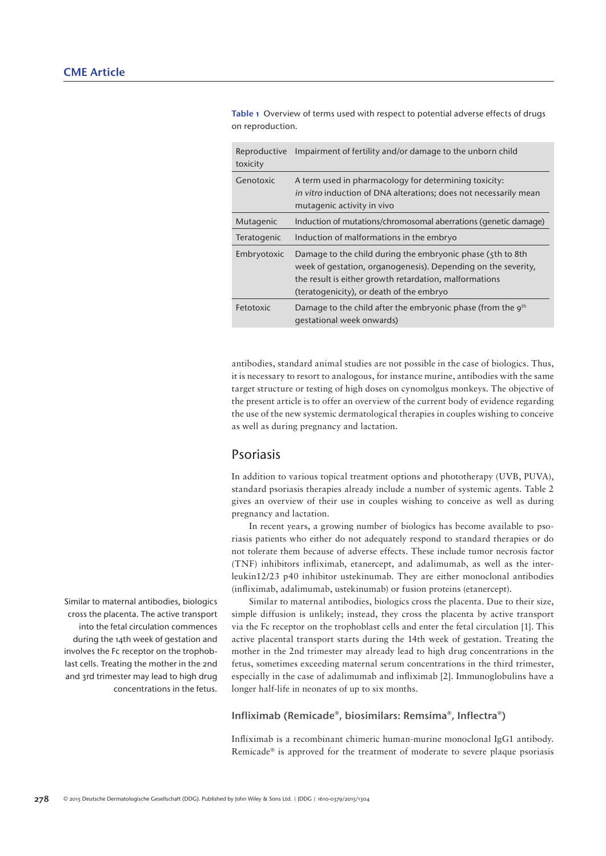Table 1 Overview of terms used with respect to potential adverse effects of drugs on reproduction.

| Reproductive<br>toxicity | Impairment of fertility and/or damage to the unborn child                                                                                                                                                                         |
|--------------------------|-----------------------------------------------------------------------------------------------------------------------------------------------------------------------------------------------------------------------------------|
| Genotoxic                | A term used in pharmacology for determining toxicity:<br>in vitro induction of DNA alterations; does not necessarily mean<br>mutagenic activity in vivo                                                                           |
| Mutagenic                | Induction of mutations/chromosomal aberrations (genetic damage)                                                                                                                                                                   |
| Teratogenic              | Induction of malformations in the embryo                                                                                                                                                                                          |
| Embryotoxic              | Damage to the child during the embryonic phase (5th to 8th<br>week of gestation, organogenesis). Depending on the severity,<br>the result is either growth retardation, malformations<br>(teratogenicity), or death of the embryo |
| Fetotoxic                | Damage to the child after the embryonic phase (from the 9th<br>gestational week onwards)                                                                                                                                          |

antibodies, standard animal studies are not possible in the case of biologics. Thus, it is necessary to resort to analogous, for instance murine, antibodies with the same target structure or testing of high doses on cynomolgus monkeys. The objective of the present article is to offer an overview of the current body of evidence regarding the use of the new systemic dermatological therapies in couples wishing to conceive as well as during pregnancy and lactation.

# Psoriasis

In addition to various topical treatment options and phototherapy (UVB, PUVA), standard psoriasis therapies already include a number of systemic agents. Table 2 gives an overview of their use in couples wishing to conceive as well as during pregnancy and lactation.

In recent years, a growing number of biologics has become available to psoriasis patients who either do not adequately respond to standard therapies or do not tolerate them because of adverse effects. These include tumor necrosis factor (TNF) inhibitors infliximab, etanercept, and adalimumab, as well as the interleukin12/23 p40 inhibitor ustekinumab. They are either monoclonal antibodies (infliximab, adalimumab, ustekinumab) or fusion proteins (etanercept).

Similar to maternal antibodies, biologics cross the placenta. Due to their size, simple diffusion is unlikely; instead, they cross the placenta by active transport via the Fc receptor on the trophoblast cells and enter the fetal circulation [1]. This active placental transport starts during the 14th week of gestation. Treating the mother in the 2nd trimester may already lead to high drug concentrations in the fetus, sometimes exceeding maternal serum concentrations in the third trimester, especially in the case of adalimumab and infliximab [2]. Immunoglobulins have a longer half-life in neonates of up to six months.

### Infliximab (Remicade®, biosimilars: Remsima®, Inflectra®)

Infliximab is a recombinant chimeric human-murine monoclonal IgG1 antibody. Remicade® is approved for the treatment of moderate to severe plaque psoriasis

Similar to maternal antibodies, biologics cross the placenta. The active transport into the fetal circulation commences during the 14th week of gestation and involves the Fc receptor on the trophoblast cells. Treating the mother in the 2nd and 3rd trimester may lead to high drug concentrations in the fetus.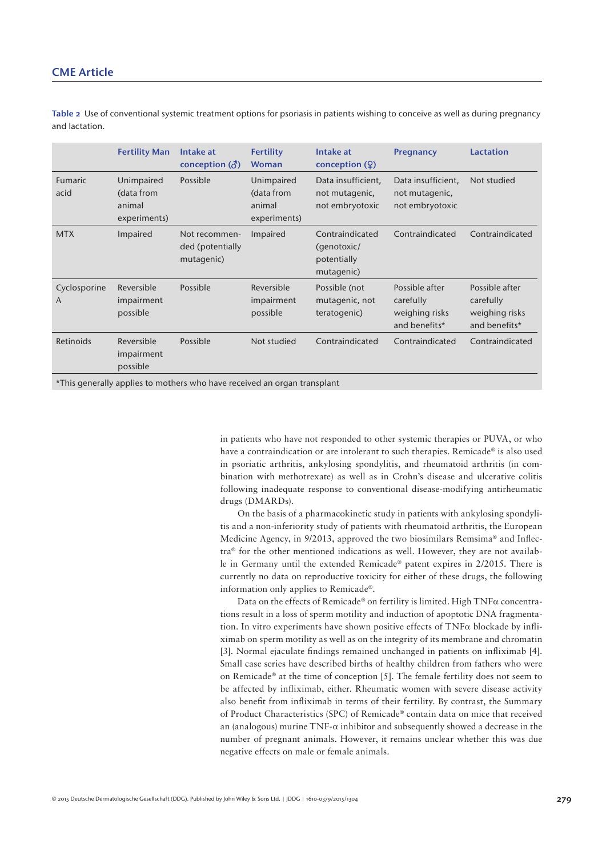|                   | <b>Fertility Man</b>                               | Intake at<br>conception $(\delta)$              | <b>Fertility</b><br><b>Woman</b>                   | <b>Intake at</b><br>conception $(2)$                        | <b>Pregnancy</b>                                               | <b>Lactation</b>                                               |
|-------------------|----------------------------------------------------|-------------------------------------------------|----------------------------------------------------|-------------------------------------------------------------|----------------------------------------------------------------|----------------------------------------------------------------|
| Fumaric<br>acid   | Unimpaired<br>(data from<br>animal<br>experiments) | Possible                                        | Unimpaired<br>(data from<br>animal<br>experiments) | Data insufficient.<br>not mutagenic,<br>not embryotoxic     | Data insufficient.<br>not mutagenic,<br>not embryotoxic        | Not studied                                                    |
| <b>MTX</b>        | Impaired                                           | Not recommen-<br>ded (potentially<br>mutagenic) | Impaired                                           | Contraindicated<br>(genotoxic/<br>potentially<br>mutagenic) | Contraindicated                                                | Contraindicated                                                |
| Cyclosporine<br>A | Reversible<br>impairment<br>possible               | Possible                                        | Reversible<br>impairment<br>possible               | Possible (not<br>mutagenic, not<br>teratogenic)             | Possible after<br>carefully<br>weighing risks<br>and benefits* | Possible after<br>carefully<br>weighing risks<br>and benefits* |
| Retinoids         | Reversible<br>impairment<br>possible               | Possible                                        | Not studied                                        | Contraindicated                                             | Contraindicated                                                | Contraindicated                                                |

Table 2 Use of conventional systemic treatment options for psoriasis in patients wishing to conceive as well as during pregnancy and lactation.

\*This generally applies to mothers who have received an organ transplant

in patients who have not responded to other systemic therapies or PUVA, or who have a contraindication or are intolerant to such therapies. Remicade® is also used in psoriatic arthritis, ankylosing spondylitis, and rheumatoid arthritis (in combination with methotrexate) as well as in Crohn's disease and ulcerative colitis following inadequate response to conventional disease-modifying antirheumatic drugs (DMARDs).

On the basis of a pharmacokinetic study in patients with ankylosing spondylitis and a non-inferiority study of patients with rheumatoid arthritis, the European Medicine Agency, in 9/2013, approved the two biosimilars Remsima® and Inflectra® for the other mentioned indications as well. However, they are not available in Germany until the extended Remicade® patent expires in 2/2015. There is currently no data on reproductive toxicity for either of these drugs, the following information only applies to Remicade®.

Data on the effects of Remicade® on fertility is limited. High TNFα concentrations result in a loss of sperm motility and induction of apoptotic DNA fragmentation. In vitro experiments have shown positive effects of TNFα blockade by infliximab on sperm motility as well as on the integrity of its membrane and chromatin [3]. Normal ejaculate findings remained unchanged in patients on infliximab [4]. Small case series have described births of healthy children from fathers who were on Remicade® at the time of conception [5]. The female fertility does not seem to be affected by infliximab, either. Rheumatic women with severe disease activity also benefit from infliximab in terms of their fertility. By contrast, the Summary of Product Characteristics (SPC) of Remicade® contain data on mice that received an (analogous) murine  $TNF-\alpha$  inhibitor and subsequently showed a decrease in the number of pregnant animals. However, it remains unclear whether this was due negative effects on male or female animals.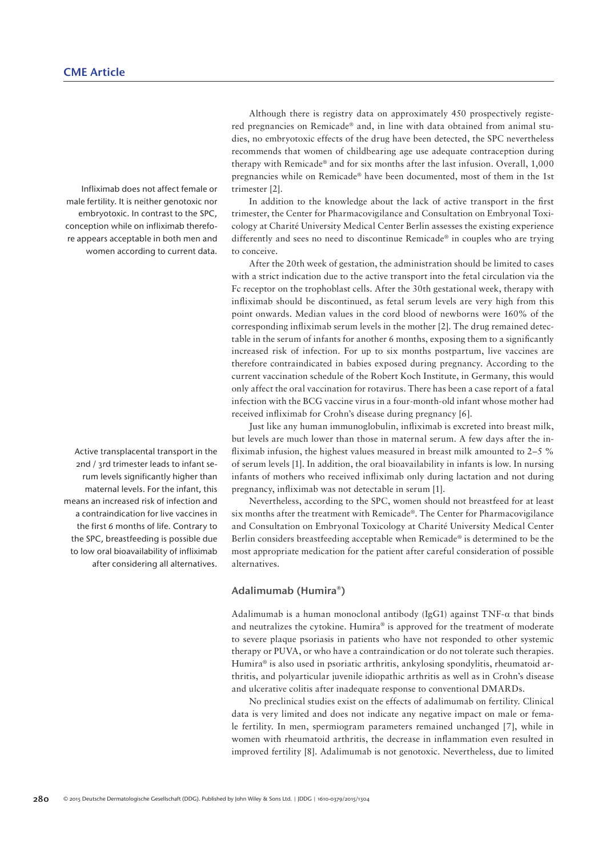Infliximab does not affect female or male fertility. It is neither genotoxic nor embryotoxic. In contrast to the SPC, conception while on infliximab therefore appears acceptable in both men and women according to current data.

Active transplacental transport in the 2nd / 3rd trimester leads to infant serum levels significantly higher than maternal levels. For the infant, this means an increased risk of infection and a contraindication for live vaccines in the first 6 months of life. Contrary to the SPC, breastfeeding is possible due to low oral bioavailability of infliximab after considering all alternatives.

Although there is registry data on approximately 450 prospectively registered pregnancies on Remicade® and, in line with data obtained from animal studies, no embryotoxic effects of the drug have been detected, the SPC nevertheless recommends that women of childbearing age use adequate contraception during therapy with Remicade® and for six months after the last infusion. Overall, 1,000 pregnancies while on Remicade® have been documented, most of them in the 1st trimester [2].

In addition to the knowledge about the lack of active transport in the first trimester, the Center for Pharmacovigilance and Consultation on Embryonal Toxicology at Charité University Medical Center Berlin assesses the existing experience differently and sees no need to discontinue Remicade® in couples who are trying to conceive.

After the 20th week of gestation, the administration should be limited to cases with a strict indication due to the active transport into the fetal circulation via the Fc receptor on the trophoblast cells. After the 30th gestational week, therapy with infliximab should be discontinued, as fetal serum levels are very high from this point onwards. Median values in the cord blood of newborns were 160% of the corresponding infliximab serum levels in the mother [2]. The drug remained detectable in the serum of infants for another 6 months, exposing them to a significantly increased risk of infection. For up to six months postpartum, live vaccines are therefore contraindicated in babies exposed during pregnancy. According to the current vaccination schedule of the Robert Koch Institute, in Germany, this would only affect the oral vaccination for rotavirus. There has been a case report of a fatal infection with the BCG vaccine virus in a four-month-old infant whose mother had received infliximab for Crohn's disease during pregnancy [6].

Just like any human immunoglobulin, infliximab is excreted into breast milk, but levels are much lower than those in maternal serum. A few days after the infliximab infusion, the highest values measured in breast milk amounted to 2–5 % of serum levels [1]. In addition, the oral bioavailability in infants is low. In nursing infants of mothers who received infliximab only during lactation and not during pregnancy, infliximab was not detectable in serum [1].

Nevertheless, according to the SPC, women should not breastfeed for at least six months after the treatment with Remicade®. The Center for Pharmacovigilance and Consultation on Embryonal Toxicology at Charité University Medical Center Berlin considers breastfeeding acceptable when Remicade® is determined to be the most appropriate medication for the patient after careful consideration of possible alternatives.

#### Adalimumab (Humira®)

Adalimumab is a human monoclonal antibody (IgG1) against  $TNF-\alpha$  that binds and neutralizes the cytokine. Humira® is approved for the treatment of moderate to severe plaque psoriasis in patients who have not responded to other systemic therapy or PUVA, or who have a contraindication or do not tolerate such therapies. Humira<sup>®</sup> is also used in psoriatic arthritis, ankylosing spondylitis, rheumatoid arthritis, and polyarticular juvenile idiopathic arthritis as well as in Crohn's disease and ulcerative colitis after inadequate response to conventional DMARDs.

No preclinical studies exist on the effects of adalimumab on fertility. Clinical data is very limited and does not indicate any negative impact on male or female fertility. In men, spermiogram parameters remained unchanged [7], while in women with rheumatoid arthritis, the decrease in inflammation even resulted in improved fertility [8]. Adalimumab is not genotoxic. Nevertheless, due to limited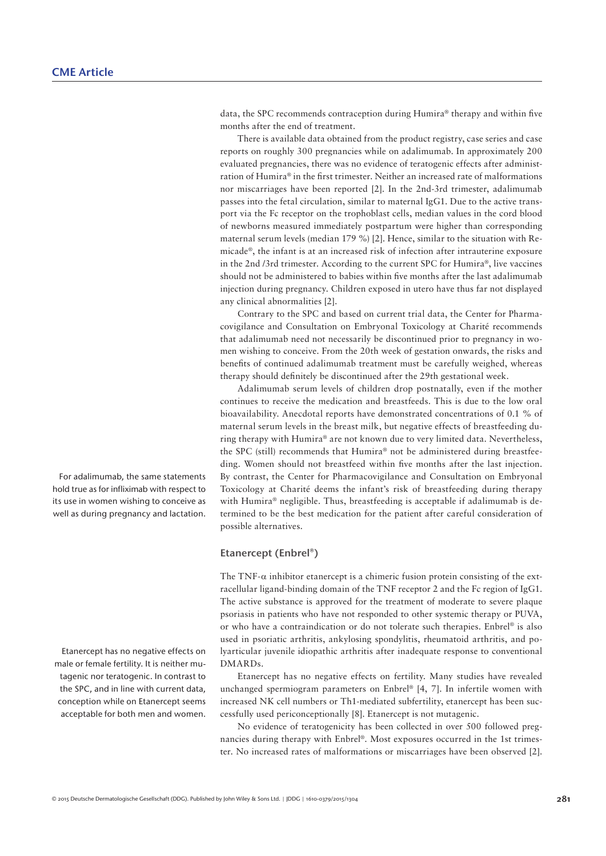ration of Humira® in the first trimester. Neither an increased rate of malformations nor miscarriages have been reported [2]. In the 2nd-3rd trimester, adalimumab passes into the fetal circulation, similar to maternal IgG1. Due to the active trans-

months after the end of treatment.

port via the Fc receptor on the trophoblast cells, median values in the cord blood of newborns measured immediately postpartum were higher than corresponding maternal serum levels (median 179 %) [2]. Hence, similar to the situation with Remicade®, the infant is at an increased risk of infection after intrauterine exposure in the 2nd /3rd trimester. According to the current SPC for Humira®, live vaccines should not be administered to babies within five months after the last adalimumab injection during pregnancy. Children exposed in utero have thus far not displayed any clinical abnormalities [2].

data, the SPC recommends contraception during Humira® therapy and within five

There is available data obtained from the product registry, case series and case reports on roughly 300 pregnancies while on adalimumab. In approximately 200 evaluated pregnancies, there was no evidence of teratogenic effects after administ-

Contrary to the SPC and based on current trial data, the Center for Pharmacovigilance and Consultation on Embryonal Toxicology at Charité recommends that adalimumab need not necessarily be discontinued prior to pregnancy in women wishing to conceive. From the 20th week of gestation onwards, the risks and benefits of continued adalimumab treatment must be carefully weighed, whereas therapy should definitely be discontinued after the 29th gestational week.

Adalimumab serum levels of children drop postnatally, even if the mother continues to receive the medication and breastfeeds. This is due to the low oral bioavailability. Anecdotal reports have demonstrated concentrations of 0.1 % of maternal serum levels in the breast milk, but negative effects of breastfeeding during therapy with Humira® are not known due to very limited data. Nevertheless, the SPC (still) recommends that Humira® not be administered during breastfeeding. Women should not breastfeed within five months after the last injection. By contrast, the Center for Pharmacovigilance and Consultation on Embryonal Toxicology at Charité deems the infant's risk of breastfeeding during therapy with Humira® negligible. Thus, breastfeeding is acceptable if adalimumab is determined to be the best medication for the patient after careful consideration of possible alternatives.

## Etanercept (Enbrel®)

The TNF- $\alpha$  inhibitor etanercept is a chimeric fusion protein consisting of the extracellular ligand-binding domain of the TNF receptor 2 and the Fc region of IgG1. The active substance is approved for the treatment of moderate to severe plaque psoriasis in patients who have not responded to other systemic therapy or PUVA, or who have a contraindication or do not tolerate such therapies. Enbrel® is also used in psoriatic arthritis, ankylosing spondylitis, rheumatoid arthritis, and polyarticular juvenile idiopathic arthritis after inadequate response to conventional DMARDs.

Etanercept has no negative effects on fertility. Many studies have revealed unchanged spermiogram parameters on Enbrel® [4, 7]. In infertile women with increased NK cell numbers or Th1-mediated subfertility, etanercept has been successfully used periconceptionally [8]. Etanercept is not mutagenic.

No evidence of teratogenicity has been collected in over 500 followed pregnancies during therapy with Enbrel®. Most exposures occurred in the 1st trimester. No increased rates of malformations or miscarriages have been observed [2].

For adalimumab, the same statements hold true as for infliximab with respect to its use in women wishing to conceive as well as during pregnancy and lactation.

Etanercept has no negative effects on male or female fertility. It is neither mutagenic nor teratogenic. In contrast to the SPC, and in line with current data, conception while on Etanercept seems acceptable for both men and women.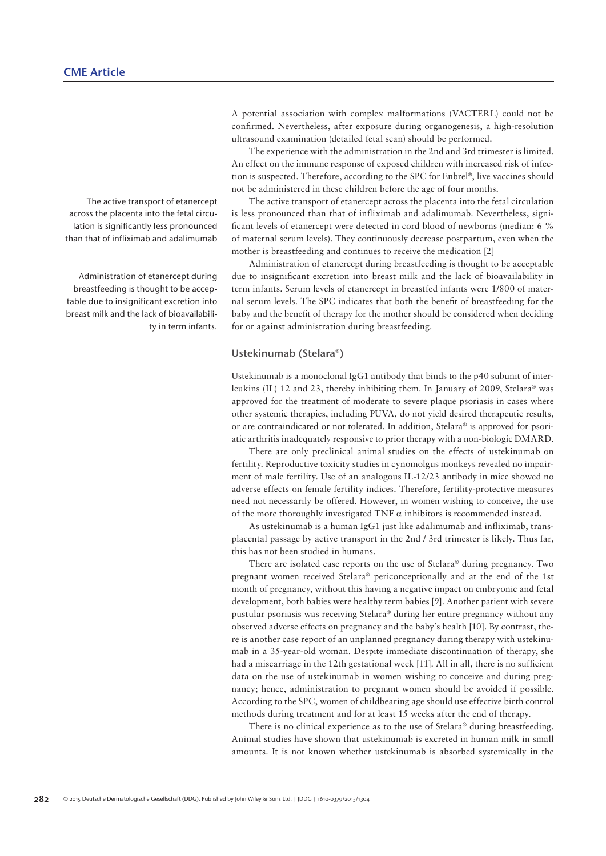The active transport of etanercept across the placenta into the fetal circulation is significantly less pronounced than that of infliximab and adalimumab

Administration of etanercept during breastfeeding is thought to be acceptable due to insignificant excretion into breast milk and the lack of bioavailability in term infants.

A potential association with complex malformations (VACTERL) could not be confirmed. Nevertheless, after exposure during organogenesis, a high-resolution ultrasound examination (detailed fetal scan) should be performed.

The experience with the administration in the 2nd and 3rd trimester is limited. An effect on the immune response of exposed children with increased risk of infection is suspected. Therefore, according to the SPC for Enbrel®, live vaccines should not be administered in these children before the age of four months.

The active transport of etanercept across the placenta into the fetal circulation is less pronounced than that of infliximab and adalimumab. Nevertheless, significant levels of etanercept were detected in cord blood of newborns (median: 6 % of maternal serum levels). They continuously decrease postpartum, even when the mother is breastfeeding and continues to receive the medication [2]

Administration of etanercept during breastfeeding is thought to be acceptable due to insignificant excretion into breast milk and the lack of bioavailability in term infants. Serum levels of etanercept in breastfed infants were 1/800 of maternal serum levels. The SPC indicates that both the benefit of breastfeeding for the baby and the benefit of therapy for the mother should be considered when deciding for or against administration during breastfeeding.

#### Ustekinumab (Stelara®)

Ustekinumab is a monoclonal IgG1 antibody that binds to the p40 subunit of interleukins (IL) 12 and 23, thereby inhibiting them. In January of 2009, Stelara® was approved for the treatment of moderate to severe plaque psoriasis in cases where other systemic therapies, including PUVA, do not yield desired therapeutic results, or are contraindicated or not tolerated. In addition, Stelara® is approved for psoriatic arthritis inadequately responsive to prior therapy with a non-biologic DMARD.

There are only preclinical animal studies on the effects of ustekinumab on fertility. Reproductive toxicity studies in cynomolgus monkeys revealed no impairment of male fertility. Use of an analogous IL-12/23 antibody in mice showed no adverse effects on female fertility indices. Therefore, fertility-protective measures need not necessarily be offered. However, in women wishing to conceive, the use of the more thoroughly investigated TNF  $\alpha$  inhibitors is recommended instead.

As ustekinumab is a human IgG1 just like adalimumab and infliximab, transplacental passage by active transport in the 2nd / 3rd trimester is likely. Thus far, this has not been studied in humans.

There are isolated case reports on the use of Stelara® during pregnancy. Two pregnant women received Stelara® periconceptionally and at the end of the 1st month of pregnancy, without this having a negative impact on embryonic and fetal development, both babies were healthy term babies [9]. Another patient with severe pustular psoriasis was receiving Stelara® during her entire pregnancy without any observed adverse effects on pregnancy and the baby's health [10]. By contrast, there is another case report of an unplanned pregnancy during therapy with ustekinumab in a 35-year-old woman. Despite immediate discontinuation of therapy, she had a miscarriage in the 12th gestational week [11]. All in all, there is no sufficient data on the use of ustekinumab in women wishing to conceive and during pregnancy; hence, administration to pregnant women should be avoided if possible. According to the SPC, women of childbearing age should use effective birth control methods during treatment and for at least 15 weeks after the end of therapy.

There is no clinical experience as to the use of Stelara® during breastfeeding. Animal studies have shown that ustekinumab is excreted in human milk in small amounts. It is not known whether ustekinumab is absorbed systemically in the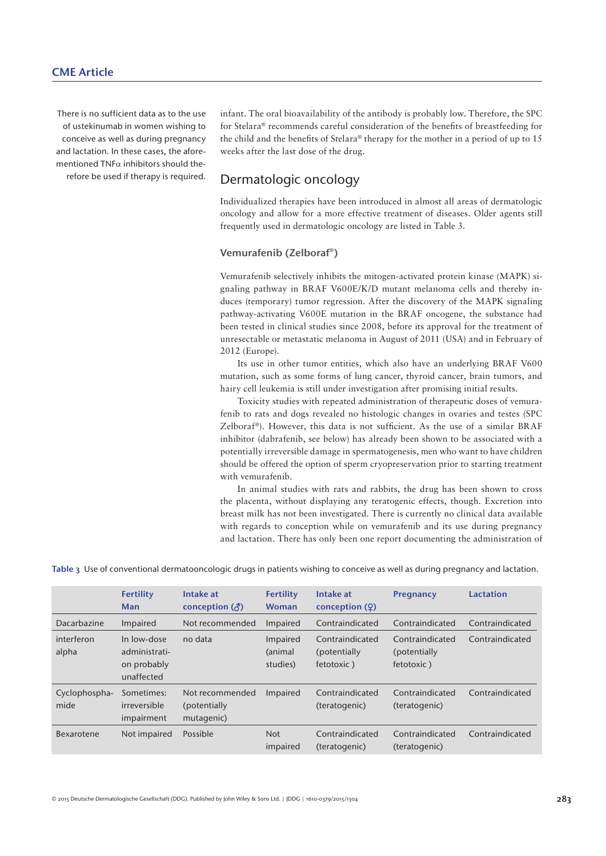There is no sufficient data as to the use of ustekinumab in women wishing to conceive as well as during pregnancy and lactation. In these cases, the aforementioned TNFα inhibitors should therefore be used if therapy is required.

infant. The oral bioavailability of the antibody is probably low. Therefore, the SPC for Stelara® recommends careful consideration of the benefits of breastfeeding for the child and the benefits of Stelara® therapy for the mother in a period of up to 15 weeks after the last dose of the drug.

# Dermatologic oncology

Individualized therapies have been introduced in almost all areas of dermatologic oncology and allow for a more effective treatment of diseases. Older agents still frequently used in dermatologic oncology are listed in Table 3.

#### Vemurafenib (Zelboraf®)

Vemurafenib selectively inhibits the mitogen-activated protein kinase (MAPK) signaling pathway in BRAF V600E/K/D mutant melanoma cells and thereby induces (temporary) tumor regression. After the discovery of the MAPK signaling pathway-activating V600E mutation in the BRAF oncogene, the substance had been tested in clinical studies since 2008, before its approval for the treatment of unresectable or metastatic melanoma in August of 2011 (USA) and in February of 2012 (Europe).

Its use in other tumor entities, which also have an underlying BRAF V600 mutation, such as some forms of lung cancer, thyroid cancer, brain tumors, and hairy cell leukemia is still under investigation after promising initial results.

Toxicity studies with repeated administration of therapeutic doses of vemurafenib to rats and dogs revealed no histologic changes in ovaries and testes (SPC Zelboraf®). However, this data is not sufficient. As the use of a similar BRAF inhibitor (dabrafenib, see below) has already been shown to be associated with a potentially irreversible damage in spermatogenesis, men who want to have children should be offered the option of sperm cryopreservation prior to starting treatment with vemurafenib.

In animal studies with rats and rabbits, the drug has been shown to cross the placenta, without displaying any teratogenic effects, though. Excretion into breast milk has not been investigated. There is currently no clinical data available with regards to conception while on vemurafenib and its use during pregnancy and lactation. There has only been one report documenting the administration of

Table 3 Use of conventional dermatooncologic drugs in patients wishing to conceive as well as during pregnancy and lactation.

|                       | <b>Fertility</b><br>Man                                   | Intake at<br>conception $(\vec{d})$            | <b>Fertility</b><br>Woman       | Intake at<br>conception $(Q)$                 | <b>Pregnancy</b>                               | <b>Lactation</b> |
|-----------------------|-----------------------------------------------------------|------------------------------------------------|---------------------------------|-----------------------------------------------|------------------------------------------------|------------------|
| Dacarbazine           | Impaired                                                  | Not recommended                                | Impaired                        | Contraindicated                               | Contraindicated                                | Contraindicated  |
| interferon<br>alpha   | In low-dose<br>administrati-<br>on probably<br>unaffected | no data                                        | Impaired<br>(animal<br>studies) | Contraindicated<br>(potentially<br>fetotoxic) | Contraindicated<br>(potentially)<br>fetotoxic) | Contraindicated  |
| Cyclophospha-<br>mide | Sometimes:<br>irreversible<br>impairment                  | Not recommended<br>(potentially)<br>mutagenic) | Impaired                        | Contraindicated<br>(teratogenic)              | Contraindicated<br>(teratogenic)               | Contraindicated  |
| Bexarotene            | Not impaired                                              | Possible                                       | <b>Not</b><br>impaired          | Contraindicated<br>(teratogenic)              | Contraindicated<br>(teratogenic)               | Contraindicated  |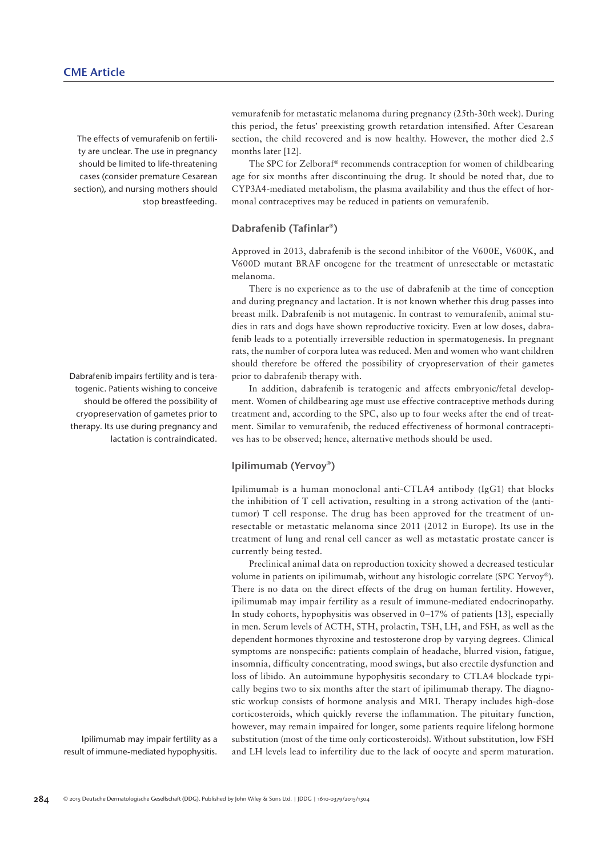The effects of vemurafenib on fertility are unclear. The use in pregnancy should be limited to life-threatening cases (consider premature Cesarean section), and nursing mothers should stop breastfeeding.

 Dabrafenib impairs fertility and is teratogenic. Patients wishing to conceive should be offered the possibility of cryopreservation of gametes prior to therapy. Its use during pregnancy and lactation is contraindicated.

Ipilimumab may impair fertility as a result of immune-mediated hypophysitis.

vemurafenib for metastatic melanoma during pregnancy (25th-30th week). During this period, the fetus' preexisting growth retardation intensified. After Cesarean section, the child recovered and is now healthy. However, the mother died 2.5 months later [12].

The SPC for Zelboraf® recommends contraception for women of childbearing age for six months after discontinuing the drug. It should be noted that, due to CYP3A4-mediated metabolism, the plasma availability and thus the effect of hormonal contraceptives may be reduced in patients on vemurafenib.

## Dabrafenib (Tafinlar®)

Approved in 2013, dabrafenib is the second inhibitor of the V600E, V600K, and V600D mutant BRAF oncogene for the treatment of unresectable or metastatic melanoma.

There is no experience as to the use of dabrafenib at the time of conception and during pregnancy and lactation. It is not known whether this drug passes into breast milk. Dabrafenib is not mutagenic. In contrast to vemurafenib, animal studies in rats and dogs have shown reproductive toxicity. Even at low doses, dabrafenib leads to a potentially irreversible reduction in spermatogenesis. In pregnant rats, the number of corpora lutea was reduced. Men and women who want children should therefore be offered the possibility of cryopreservation of their gametes prior to dabrafenib therapy with.

In addition, dabrafenib is teratogenic and affects embryonic/fetal development. Women of childbearing age must use effective contraceptive methods during treatment and, according to the SPC, also up to four weeks after the end of treatment. Similar to vemurafenib, the reduced effectiveness of hormonal contraceptives has to be observed; hence, alternative methods should be used.

# Ipilimumab (Yervoy®)

Ipilimumab is a human monoclonal anti-CTLA4 antibody (IgG1) that blocks the inhibition of T cell activation, resulting in a strong activation of the (antitumor) T cell response. The drug has been approved for the treatment of unresectable or metastatic melanoma since 2011 (2012 in Europe). Its use in the treatment of lung and renal cell cancer as well as metastatic prostate cancer is currently being tested.

Preclinical animal data on reproduction toxicity showed a decreased testicular volume in patients on ipilimumab, without any histologic correlate (SPC Yervoy®). There is no data on the direct effects of the drug on human fertility. However, ipilimumab may impair fertility as a result of immune-mediated endocrinopathy. In study cohorts, hypophysitis was observed in 0–17% of patients [13], especially in men. Serum levels of ACTH, STH, prolactin, TSH, LH, and FSH, as well as the dependent hormones thyroxine and testosterone drop by varying degrees. Clinical symptoms are nonspecific: patients complain of headache, blurred vision, fatigue, insomnia, difficulty concentrating, mood swings, but also erectile dysfunction and loss of libido. An autoimmune hypophysitis secondary to CTLA4 blockade typically begins two to six months after the start of ipilimumab therapy. The diagnostic workup consists of hormone analysis and MRI. Therapy includes high-dose corticosteroids, which quickly reverse the inflammation. The pituitary function, however, may remain impaired for longer, some patients require lifelong hormone substitution (most of the time only corticosteroids). Without substitution, low FSH and LH levels lead to infertility due to the lack of oocyte and sperm maturation.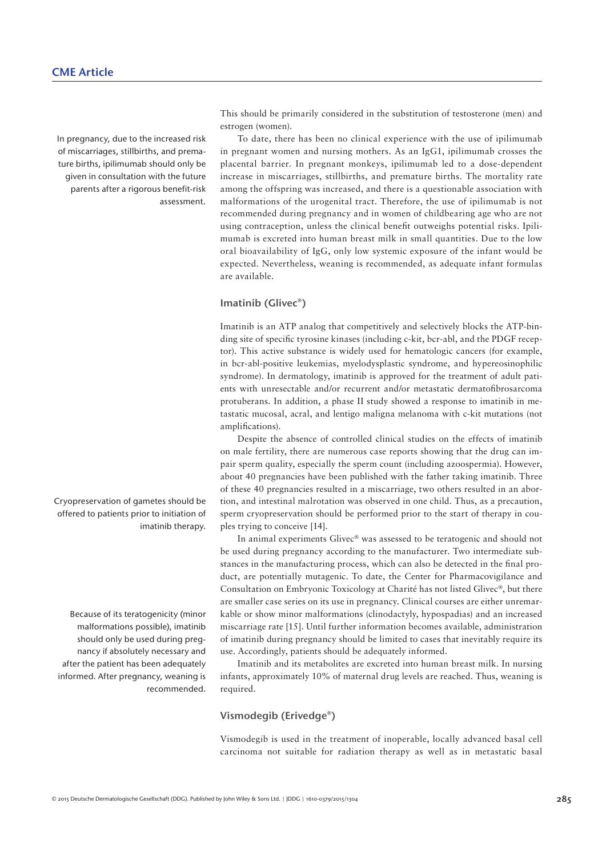In pregnancy, due to the increased risk of miscarriages, stillbirths, and premature births, ipilimumab should only be given in consultation with the future parents after a rigorous benefit-risk assessment.

Cryopreservation of gametes should be offered to patients prior to initiation of imatinib therapy.

Because of its teratogenicity (minor malformations possible), imatinib should only be used during pregnancy if absolutely necessary and after the patient has been adequately informed. After pregnancy, weaning is recommended.

This should be primarily considered in the substitution of testosterone (men) and estrogen (women).

To date, there has been no clinical experience with the use of ipilimumab in pregnant women and nursing mothers. As an IgG1, ipilimumab crosses the placental barrier. In pregnant monkeys, ipilimumab led to a dose-dependent increase in miscarriages, stillbirths, and premature births. The mortality rate among the offspring was increased, and there is a questionable association with malformations of the urogenital tract. Therefore, the use of ipilimumab is not recommended during pregnancy and in women of childbearing age who are not using contraception, unless the clinical benefit outweighs potential risks. Ipilimumab is excreted into human breast milk in small quantities. Due to the low oral bioavailability of IgG, only low systemic exposure of the infant would be expected. Nevertheless, weaning is recommended, as adequate infant formulas are available.

# Imatinib (Glivec®)

Imatinib is an ATP analog that competitively and selectively blocks the ATP-binding site of specific tyrosine kinases (including c-kit, bcr-abl, and the PDGF receptor). This active substance is widely used for hematologic cancers (for example, in bcr-abl-positive leukemias, myelodysplastic syndrome, and hypereosinophilic syndrome). In dermatology, imatinib is approved for the treatment of adult patients with unresectable and/or recurrent and/or metastatic dermatofibrosarcoma protuberans. In addition, a phase II study showed a response to imatinib in metastatic mucosal, acral, and lentigo maligna melanoma with c-kit mutations (not amplifications).

Despite the absence of controlled clinical studies on the effects of imatinib on male fertility, there are numerous case reports showing that the drug can impair sperm quality, especially the sperm count (including azoospermia). However, about 40 pregnancies have been published with the father taking imatinib. Three of these 40 pregnancies resulted in a miscarriage, two others resulted in an abortion, and intestinal malrotation was observed in one child. Thus, as a precaution, sperm cryopreservation should be performed prior to the start of therapy in couples trying to conceive [14].

In animal experiments Glivec® was assessed to be teratogenic and should not be used during pregnancy according to the manufacturer. Two intermediate substances in the manufacturing process, which can also be detected in the final product, are potentially mutagenic. To date, the Center for Pharmacovigilance and Consultation on Embryonic Toxicology at Charité has not listed Glivec®, but there are smaller case series on its use in pregnancy. Clinical courses are either unremarkable or show minor malformations (clinodactyly, hypospadias) and an increased miscarriage rate [15]. Until further information becomes available, administration of imatinib during pregnancy should be limited to cases that inevitably require its use. Accordingly, patients should be adequately informed.

Imatinib and its metabolites are excreted into human breast milk. In nursing infants, approximately 10% of maternal drug levels are reached. Thus, weaning is required.

## Vismodegib (Erivedge®)

Vismodegib is used in the treatment of inoperable, locally advanced basal cell carcinoma not suitable for radiation therapy as well as in metastatic basal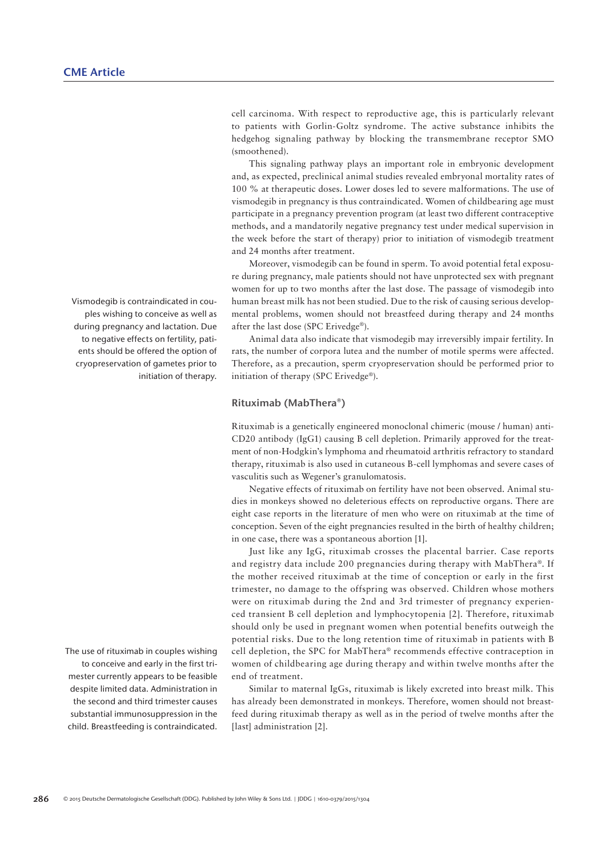Vismodegib is contraindicated in couples wishing to conceive as well as during pregnancy and lactation. Due to negative effects on fertility, patients should be offered the option of cryopreservation of gametes prior to initiation of therapy.

The use of rituximab in couples wishing to conceive and early in the first trimester currently appears to be feasible despite limited data. Administration in the second and third trimester causes substantial immunosuppression in the child. Breastfeeding is contraindicated.

cell carcinoma. With respect to reproductive age, this is particularly relevant to patients with Gorlin-Goltz syndrome. The active substance inhibits the hedgehog signaling pathway by blocking the transmembrane receptor SMO (smoothened).

This signaling pathway plays an important role in embryonic development and, as expected, preclinical animal studies revealed embryonal mortality rates of 100 % at therapeutic doses. Lower doses led to severe malformations. The use of vismodegib in pregnancy is thus contraindicated. Women of childbearing age must participate in a pregnancy prevention program (at least two different contraceptive methods, and a mandatorily negative pregnancy test under medical supervision in the week before the start of therapy) prior to initiation of vismodegib treatment and 24 months after treatment.

Moreover, vismodegib can be found in sperm. To avoid potential fetal exposure during pregnancy, male patients should not have unprotected sex with pregnant women for up to two months after the last dose. The passage of vismodegib into human breast milk has not been studied. Due to the risk of causing serious developmental problems, women should not breastfeed during therapy and 24 months after the last dose (SPC Erivedge®).

Animal data also indicate that vismodegib may irreversibly impair fertility. In rats, the number of corpora lutea and the number of motile sperms were affected. Therefore, as a precaution, sperm cryopreservation should be performed prior to initiation of therapy (SPC Erivedge®).

#### Rituximab (MabThera®)

Rituximab is a genetically engineered monoclonal chimeric (mouse / human) anti-CD20 antibody (IgG1) causing B cell depletion. Primarily approved for the treatment of non-Hodgkin's lymphoma and rheumatoid arthritis refractory to standard therapy, rituximab is also used in cutaneous B-cell lymphomas and severe cases of vasculitis such as Wegener's granulomatosis.

Negative effects of rituximab on fertility have not been observed. Animal studies in monkeys showed no deleterious effects on reproductive organs. There are eight case reports in the literature of men who were on rituximab at the time of conception. Seven of the eight pregnancies resulted in the birth of healthy children; in one case, there was a spontaneous abortion [1].

Just like any IgG, rituximab crosses the placental barrier. Case reports and registry data include 200 pregnancies during therapy with MabThera®. If the mother received rituximab at the time of conception or early in the first trimester, no damage to the offspring was observed. Children whose mothers were on rituximab during the 2nd and 3rd trimester of pregnancy experienced transient B cell depletion and lymphocytopenia [2]. Therefore, rituximab should only be used in pregnant women when potential benefits outweigh the potential risks. Due to the long retention time of rituximab in patients with B cell depletion, the SPC for MabThera® recommends effective contraception in women of childbearing age during therapy and within twelve months after the end of treatment.

Similar to maternal IgGs, rituximab is likely excreted into breast milk. This has already been demonstrated in monkeys. Therefore, women should not breastfeed during rituximab therapy as well as in the period of twelve months after the [last] administration [2].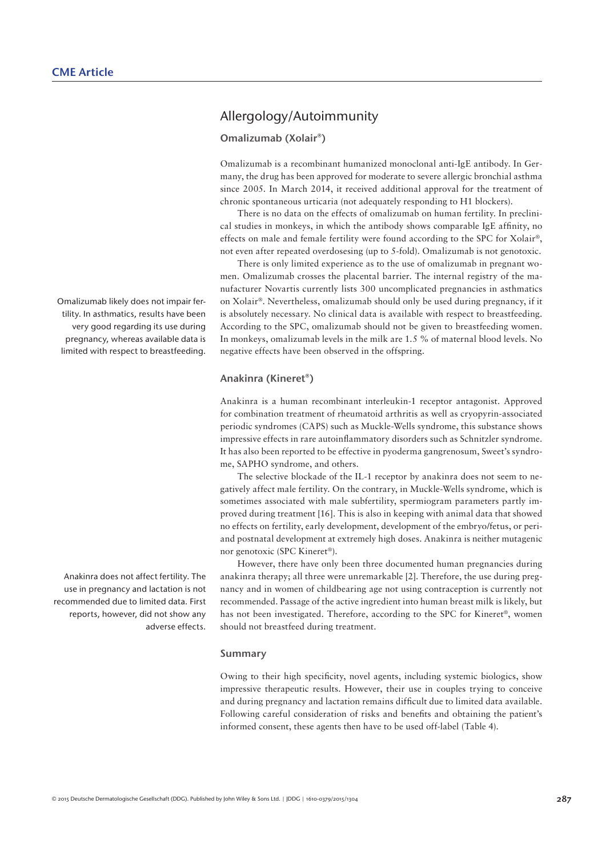Allergology/Autoimmunity

## Omalizumab (Xolair®)

Omalizumab is a recombinant humanized monoclonal anti-IgE antibody. In Germany, the drug has been approved for moderate to severe allergic bronchial asthma since 2005. In March 2014, it received additional approval for the treatment of chronic spontaneous urticaria (not adequately responding to H1 blockers).

There is no data on the effects of omalizumab on human fertility. In preclinical studies in monkeys, in which the antibody shows comparable IgE affinity, no effects on male and female fertility were found according to the SPC for Xolair®, not even after repeated overdosesing (up to 5-fold). Omalizumab is not genotoxic.

There is only limited experience as to the use of omalizumab in pregnant women. Omalizumab crosses the placental barrier. The internal registry of the manufacturer Novartis currently lists 300 uncomplicated pregnancies in asthmatics on Xolair®. Nevertheless, omalizumab should only be used during pregnancy, if it is absolutely necessary. No clinical data is available with respect to breastfeeding. According to the SPC, omalizumab should not be given to breastfeeding women. In monkeys, omalizumab levels in the milk are 1.5 % of maternal blood levels. No negative effects have been observed in the offspring.

#### Anakinra (Kineret®)

Anakinra is a human recombinant interleukin-1 receptor antagonist. Approved for combination treatment of rheumatoid arthritis as well as cryopyrin-associated periodic syndromes (CAPS) such as Muckle-Wells syndrome, this substance shows impressive effects in rare autoinflammatory disorders such as Schnitzler syndrome. It has also been reported to be effective in pyoderma gangrenosum, Sweet's syndrome, SAPHO syndrome, and others.

The selective blockade of the IL-1 receptor by anakinra does not seem to negatively affect male fertility. On the contrary, in Muckle-Wells syndrome, which is sometimes associated with male subfertility, spermiogram parameters partly improved during treatment [16]. This is also in keeping with animal data that showed no effects on fertility, early development, development of the embryo/fetus, or periand postnatal development at extremely high doses. Anakinra is neither mutagenic nor genotoxic (SPC Kineret®).

However, there have only been three documented human pregnancies during anakinra therapy; all three were unremarkable [2]. Therefore, the use during pregnancy and in women of childbearing age not using contraception is currently not recommended. Passage of the active ingredient into human breast milk is likely, but has not been investigated. Therefore, according to the SPC for Kineret®, women should not breastfeed during treatment.

#### Summary

Owing to their high specificity, novel agents, including systemic biologics, show impressive therapeutic results. However, their use in couples trying to conceive and during pregnancy and lactation remains difficult due to limited data available. Following careful consideration of risks and benefits and obtaining the patient's informed consent, these agents then have to be used off-label (Table 4).

Omalizumab likely does not impair fertility. In asthmatics, results have been very good regarding its use during pregnancy, whereas available data is limited with respect to breastfeeding.

Anakinra does not affect fertility. The use in pregnancy and lactation is not recommended due to limited data. First reports, however, did not show any adverse effects.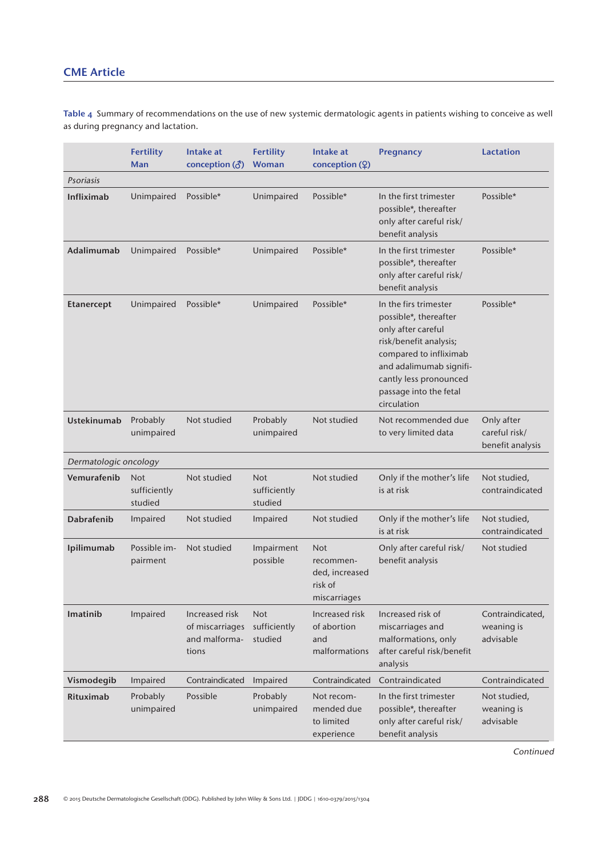Table 4 Summary of recommendations on the use of new systemic dermatologic agents in patients wishing to conceive as well as during pregnancy and lactation.

|                       | <b>Fertility</b><br>Man               | <b>Intake at</b><br>conception (8)                          | <b>Fertility</b><br><b>Woman</b>      | Intake at<br>conception $(9)$                                        | <b>Pregnancy</b>                                                                                                                                                                                                       | <b>Lactation</b>                                |
|-----------------------|---------------------------------------|-------------------------------------------------------------|---------------------------------------|----------------------------------------------------------------------|------------------------------------------------------------------------------------------------------------------------------------------------------------------------------------------------------------------------|-------------------------------------------------|
| Psoriasis             |                                       |                                                             |                                       |                                                                      |                                                                                                                                                                                                                        |                                                 |
| <b>Infliximab</b>     | Unimpaired                            | Possible*                                                   | Unimpaired                            | Possible*                                                            | In the first trimester<br>possible*, thereafter<br>only after careful risk/<br>benefit analysis                                                                                                                        | Possible*                                       |
| Adalimumab            | Unimpaired                            | Possible*                                                   | Unimpaired                            | Possible*                                                            | In the first trimester<br>possible*, thereafter<br>only after careful risk/<br>benefit analysis                                                                                                                        | Possible*                                       |
| <b>Etanercept</b>     | Unimpaired                            | Possible*                                                   | Unimpaired                            | Possible*                                                            | In the firs trimester<br>possible*, thereafter<br>only after careful<br>risk/benefit analysis;<br>compared to infliximab<br>and adalimumab signifi-<br>cantly less pronounced<br>passage into the fetal<br>circulation | Possible*                                       |
| <b>Ustekinumab</b>    | Probably<br>unimpaired                | Not studied                                                 | Probably<br>unimpaired                | Not studied                                                          | Not recommended due<br>to very limited data                                                                                                                                                                            | Only after<br>careful risk/<br>benefit analysis |
| Dermatologic oncology |                                       |                                                             |                                       |                                                                      |                                                                                                                                                                                                                        |                                                 |
| Vemurafenib           | <b>Not</b><br>sufficiently<br>studied | Not studied                                                 | <b>Not</b><br>sufficiently<br>studied | Not studied                                                          | Only if the mother's life<br>is at risk                                                                                                                                                                                | Not studied,<br>contraindicated                 |
| Dabrafenib            | Impaired                              | Not studied                                                 | Impaired                              | Not studied                                                          | Only if the mother's life<br>is at risk                                                                                                                                                                                | Not studied,<br>contraindicated                 |
| Ipilimumab            | Possible im-<br>pairment              | Not studied                                                 | Impairment<br>possible                | <b>Not</b><br>recommen-<br>ded, increased<br>risk of<br>miscarriages | Only after careful risk/<br>benefit analysis                                                                                                                                                                           | Not studied                                     |
| Imatinib              | Impaired                              | Increased risk<br>of miscarriages<br>and malforma-<br>tions | <b>Not</b><br>sufficiently<br>studied | Increased risk<br>of abortion<br>and<br>malformations                | Increased risk of<br>miscarriages and<br>malformations, only<br>after careful risk/benefit<br>analysis                                                                                                                 | Contraindicated,<br>weaning is<br>advisable     |
| Vismodegib            | Impaired                              | Contraindicated                                             | Impaired                              | Contraindicated                                                      | Contraindicated                                                                                                                                                                                                        | Contraindicated                                 |
| <b>Rituximab</b>      | Probably<br>unimpaired                | Possible                                                    | Probably<br>unimpaired                | Not recom-<br>mended due<br>to limited<br>experience                 | In the first trimester<br>possible*, thereafter<br>only after careful risk/<br>benefit analysis                                                                                                                        | Not studied,<br>weaning is<br>advisable         |

Continued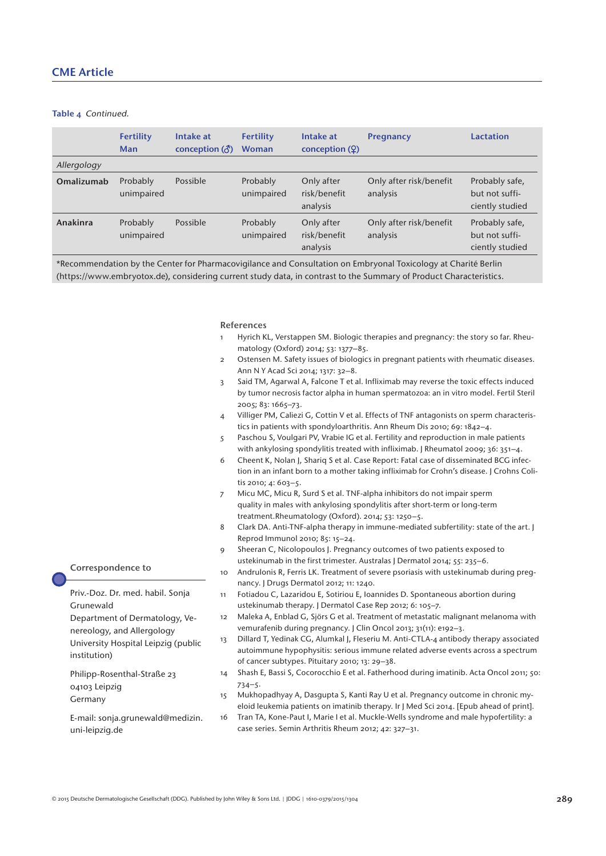Table 4 Continued.

|             | <b>Fertility</b><br>Man | Intake at<br>conception $(\delta)$ | <b>Fertility</b><br><b>Woman</b> | Intake at<br>conception $(9)$          | <b>Pregnancy</b>                    | Lactation                                           |
|-------------|-------------------------|------------------------------------|----------------------------------|----------------------------------------|-------------------------------------|-----------------------------------------------------|
| Allergology |                         |                                    |                                  |                                        |                                     |                                                     |
| Omalizumab  | Probably<br>unimpaired  | Possible                           | Probably<br>unimpaired           | Only after<br>risk/benefit<br>analysis | Only after risk/benefit<br>analysis | Probably safe,<br>but not suffi-<br>ciently studied |
| Anakinra    | Probably<br>unimpaired  | Possible                           | Probably<br>unimpaired           | Only after<br>risk/benefit<br>analysis | Only after risk/benefit<br>analysis | Probably safe,<br>but not suffi-<br>ciently studied |

\*Recommendation by the Center for Pharmacovigilance and Consultation on Embryonal Toxicology at Charité Berlin (https://www.embryotox.de), considering current study data, in contrast to the Summary of Product Characteristics.

#### References

|                                                              | Hyrich KL, Verstappen SM. Biologic therapies and pregnancy: the story so far. Rheu-<br>$\mathbf{1}$<br>matology (Oxford) 2014; 53: 1377-85.                                                                                       |
|--------------------------------------------------------------|-----------------------------------------------------------------------------------------------------------------------------------------------------------------------------------------------------------------------------------|
|                                                              | Ostensen M. Safety issues of biologics in pregnant patients with rheumatic diseases.<br>$\overline{2}$<br>Ann N Y Acad Sci 2014; 1317: 32-8.                                                                                      |
|                                                              | Said TM, Agarwal A, Falcone T et al. Infliximab may reverse the toxic effects induced<br>3<br>by tumor necrosis factor alpha in human spermatozoa: an in vitro model. Fertil Steril<br>2005; 83: 1665-73.                         |
|                                                              | Villiger PM, Caliezi G, Cottin V et al. Effects of TNF antagonists on sperm characteris-<br>4<br>tics in patients with spondyloarthritis. Ann Rheum Dis 2010; 69: 1842-4.                                                         |
|                                                              | Paschou S, Voulgari PV, Vrabie IG et al. Fertility and reproduction in male patients<br>5<br>with ankylosing spondylitis treated with infliximab. J Rheumatol 2009; $36:351-4$ .                                                  |
|                                                              | Cheent K, Nolan J, Shariq S et al. Case Report: Fatal case of disseminated BCG infec-<br>6<br>tion in an infant born to a mother taking infliximab for Crohn's disease. J Crohns Coli-<br>tis 2010; 4: 603-5.                     |
|                                                              | Micu MC, Micu R, Surd S et al. TNF-alpha inhibitors do not impair sperm<br>$\overline{7}$<br>quality in males with ankylosing spondylitis after short-term or long-term                                                           |
|                                                              | treatment.Rheumatology (Oxford). 2014; 53: 1250-5.<br>Clark DA. Anti-TNF-alpha therapy in immune-mediated subfertility: state of the art. J<br>8<br>Reprod Immunol 2010; 85: 15-24.                                               |
|                                                              | Sheeran C, Nicolopoulos J. Pregnancy outcomes of two patients exposed to<br>9                                                                                                                                                     |
|                                                              | ustekinumab in the first trimester. Australas J Dermatol 2014; 55: 235-6.                                                                                                                                                         |
| <b>Correspondence to</b>                                     | Andrulonis R, Ferris LK. Treatment of severe psoriasis with ustekinumab during preg-<br>10<br>nancy. J Drugs Dermatol 2012; 11: 1240.                                                                                             |
| Priv.-Doz. Dr. med. habil. Sonja<br>Grunewald                | Fotiadou C, Lazaridou E, Sotiriou E, Ioannides D. Spontaneous abortion during<br>11<br>ustekinumab therapy. J Dermatol Case Rep 2012; 6: 105-7.                                                                                   |
| Department of Dermatology, Ve-<br>nereology, and Allergology | Maleka A, Enblad G, Sjörs G et al. Treatment of metastatic malignant melanoma with<br>12<br>vemurafenib during pregnancy.   Clin Oncol 2013; 31(11): e192-3.                                                                      |
| University Hospital Leipzig (public<br>institution)          | Dillard T, Yedinak CG, Alumkal J, Fleseriu M. Anti-CTLA-4 antibody therapy associated<br>13<br>autoimmune hypophysitis: serious immune related adverse events across a spectrum<br>of cancer subtypes. Pituitary 2010; 13: 29-38. |
| Philipp-Rosenthal-Straße 23                                  | Shash E, Bassi S, Cocorocchio E et al. Fatherhood during imatinib. Acta Oncol 2011; 50:<br>14                                                                                                                                     |
| 04103 Leipzig                                                | $734 - 5$                                                                                                                                                                                                                         |
| Germany                                                      | Mukhopadhyay A, Dasgupta S, Kanti Ray U et al. Pregnancy outcome in chronic my-<br>15<br>eloid leukemia patients on imatinib therapy. Ir J Med Sci 2014. [Epub ahead of print].                                                   |
| E-mail: sonja.grunewald@medizin.                             | Tran TA, Kone-Paut I, Marie I et al. Muckle-Wells syndrome and male hypofertility: a<br>16                                                                                                                                        |
| uni-leipzig.de                                               | case series. Semin Arthritis Rheum 2012; 42: 327-31.                                                                                                                                                                              |